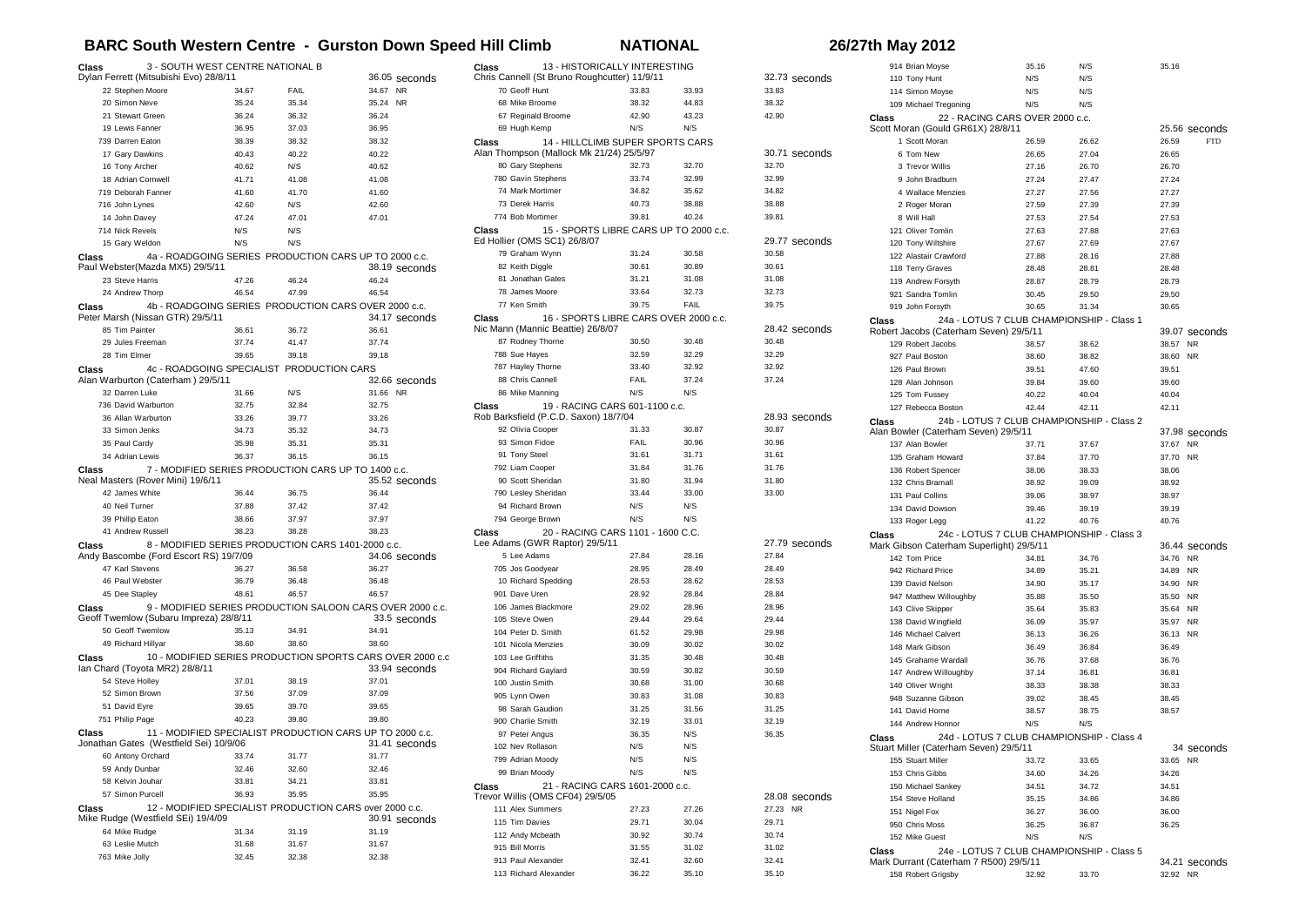## **BARC South Western Centre - Gurston Down Speed Hill Climb NATIONAL 26/27th May 2012**

| Class                                      | 3 - SOUTH WEST CENTRE NATIONAL B          |                      |                                                           |               |
|--------------------------------------------|-------------------------------------------|----------------------|-----------------------------------------------------------|---------------|
| Dylan Ferrett (Mitsubishi Evo) 28/8/11     |                                           |                      |                                                           | 36.05 seconds |
| 22 Stephen Moore                           |                                           | 34.67<br><b>FAIL</b> |                                                           | 34.67 NR      |
| 20 Simon Neve                              |                                           | 35.24<br>35.34       | 35.24                                                     | <b>NR</b>     |
| 21 Stewart Green                           |                                           | 36.32<br>36.24       | 36.24                                                     |               |
| 19 Lewis Fanner                            |                                           | 36.95<br>37.03       | 36.95                                                     |               |
| 739 Darren Eaton                           |                                           | 38.39<br>38.32       | 38.32                                                     |               |
| 17 Gary Dawkins                            |                                           | 40.43<br>40.22       | 40.22                                                     |               |
| 16 Tony Archer                             |                                           | 40.62<br>N/S         | 40.62                                                     |               |
| 18 Adrian Cornwell                         |                                           | 41.71<br>41.08       | 41.08                                                     |               |
| 719 Deborah Fanner                         |                                           | 41.60<br>41.70       | 41.60                                                     |               |
| 716 John Lynes                             |                                           | 42.60<br>N/S         | 42.60                                                     |               |
| 14 John Davey                              |                                           | 47.24<br>47.01       | 47.01                                                     |               |
| 714 Nick Revels                            | N/S                                       | N/S                  |                                                           |               |
| 15 Gary Weldon                             | N/S                                       | N/S                  |                                                           |               |
| Class<br>Paul Webster(Mazda MX5) 29/5/11   |                                           |                      | 4a - ROADGOING SERIES PRODUCTION CARS UP TO 2000 c.c.     | 38.19 seconds |
| 23 Steve Harris                            |                                           | 47.26<br>46.24       | 46.24                                                     |               |
| 24 Andrew Thorp                            |                                           | 46.54<br>47.99       | 46.54                                                     |               |
| Class                                      |                                           |                      | 4b - ROADGOING SERIES PRODUCTION CARS OVER 2000 c.c.      |               |
| Peter Marsh (Nissan GTR) 29/5/11           |                                           |                      |                                                           | 34.17 seconds |
| 85 Tim Painter                             |                                           | 36.61<br>36.72       | 36.61                                                     |               |
| 29 Jules Freeman                           |                                           | 37.74<br>41.47       | 37.74                                                     |               |
| 28 Tim Elmer                               |                                           | 39.65<br>39.18       | 39.18                                                     |               |
| Class<br>Alan Warburton (Caterham) 29/5/11 | 4c - ROADGOING SPECIALIST PRODUCTION CARS |                      |                                                           | 32.66 seconds |
| 32 Darren Luke                             |                                           | 31.66<br>N/S         |                                                           | 31.66 NR      |
| 736 David Warburton                        |                                           | 32.84<br>32.75       | 32.75                                                     |               |
| 36 Allan Warburton                         |                                           | 33.26<br>39.77       | 33.26                                                     |               |
| 33 Simon Jenks                             |                                           | 34.73<br>35.32       | 34.73                                                     |               |
| 35 Paul Cardy                              |                                           | 35.98<br>35.31       | 35.31                                                     |               |
| 34 Adrian Lewis                            |                                           | 36.37<br>36.15       | 36.15                                                     |               |
|                                            |                                           |                      |                                                           |               |
| Class                                      |                                           |                      | 7 - MODIFIED SERIES PRODUCTION CARS UP TO 1400 c.c.       |               |
| Neal Masters (Rover Mini) 19/6/11          |                                           |                      |                                                           | 35.52 seconds |
| 42 James White                             |                                           | 36.44<br>36.75       | 36.44                                                     |               |
| 40 Neil Turner                             |                                           | 37.88<br>37.42       | 37.42                                                     |               |
| 39 Phillip Eaton                           |                                           | 38.66<br>37.97       | 37.97                                                     |               |
| 41 Andrew Russell                          |                                           | 38.23<br>38.28       | 38.23                                                     |               |
| Class                                      | Andy Bascombe (Ford Escort RS) 19/7/09    |                      | 8 - MODIFIED SERIES PRODUCTION CARS 1401-2000 c.c.        | 34.06 seconds |
| 47 Karl Stevens                            |                                           | 36.58<br>36.27       | 36.27                                                     |               |
| 46 Paul Webster                            |                                           | 36.79<br>36.48       | 36.48                                                     |               |
| 45 Dee Stapley                             |                                           | 48.61<br>46.57       | 46.57                                                     |               |
| Class                                      |                                           |                      | 9 - MODIFIED SERIES PRODUCTION SALOON CARS OVER 2000 c.c. |               |
|                                            | Geoff Twemlow (Subaru Impreza) 28/8/11    |                      |                                                           | 33.5 seconds  |
| 50 Geoff Twemlow                           |                                           | 34.91<br>35.13       | 34.91                                                     |               |
| 49 Richard Hillvar                         |                                           | 38.60<br>38.60       | 38.60                                                     |               |
| Class                                      |                                           |                      | 10 - MODIFIED SERIES PRODUCTION SPORTS CARS OVER 2000 c.c |               |
| Ian Chard (Toyota MR2) 28/8/11             |                                           |                      |                                                           | 33.94 seconds |
| 54 Steve Holley                            |                                           | 37.01<br>38.19       | 37.01                                                     |               |
| 52 Simon Brown                             |                                           | 37.56<br>37.09       | 37.09                                                     |               |
| 51 David Eyre                              |                                           | 39.70<br>39.65       | 39.65                                                     |               |
| 751 Philip Page                            |                                           | 40.23<br>39.80       | 39.80                                                     |               |
| Class                                      |                                           |                      | 11 - MODIFIED SPECIALIST PRODUCTION CARS UP TO 2000 c.c.  |               |
| 60 Antony Orchard                          | Jonathan Gates (Westfield Sei) 10/9/06    | 33.74<br>31.77       | 31.77                                                     | 31.41 seconds |
|                                            |                                           | 32.46<br>32.60       | 32.46                                                     |               |
| 59 Andy Dunbar<br>58 Kelvin Jouhar         |                                           | 33.81<br>34.21       | 33.81                                                     |               |
| 57 Simon Purcell                           |                                           | 36.93<br>35.95       | 35.95                                                     |               |
| Class                                      |                                           |                      |                                                           |               |
| Mike Rudge (Westfield SEi) 19/4/09         |                                           |                      | 12 - MODIFIED SPECIALIST PRODUCTION CARS over 2000 c.c.   | 30.91 seconds |
| 64 Mike Rudge                              |                                           | 31.34<br>31.19       | 31.19                                                     |               |
| 63 Leslie Mutch<br>763 Mike Jolly          |                                           | 31.68<br>31.67       | 31.67                                                     |               |

| 13 - HISTORICALLY INTERESTING<br>Class<br>Chris Cannell (St Bruno Roughcutter) 11/9/11 |                |                |                        |
|----------------------------------------------------------------------------------------|----------------|----------------|------------------------|
| 70 Geoff Hunt                                                                          | 33.83          | 33.93          | 32.73 seconds<br>33.83 |
| 68 Mike Broome                                                                         | 38.32          | 44.83          | 38.32                  |
| 67 Reginald Broome                                                                     | 42.90          | 43.23          | 42.90                  |
| 69 Hugh Kemp                                                                           | N/S            | N/S            |                        |
| 14 - HILLCLIMB SUPER SPORTS CARS                                                       |                |                |                        |
| Class<br>Alan Thompson (Mallock Mk 21/24) 25/5/97                                      |                |                | 30.71 seconds          |
| 80 Gary Stephens                                                                       | 32.73          | 32.70          | 32.70                  |
| 780 Gavin Stephens                                                                     | 33.74          | 32.99          | 32.99                  |
| 74 Mark Mortimer                                                                       | 34.82          | 35.62          | 34.82                  |
| 73 Derek Harris                                                                        | 40.73          | 38.88          | 38.88                  |
| 774 Bob Mortimer                                                                       | 39.81          | 40.24          | 39.81                  |
| Class<br>15 - SPORTS LIBRE CARS UP TO 2000 c.c.                                        |                |                |                        |
| Ed Hollier (OMS SC1) 26/8/07                                                           |                |                | 29.77 seconds          |
| 79 Graham Wynn                                                                         | 31.24          | 30.58          | 30.58                  |
| 82 Keith Diggle                                                                        | 30.61          | 30.89          | 30.61                  |
| 81 Jonathan Gates                                                                      | 31.21          | 31.08          | 31.08                  |
| 78 James Moore                                                                         | 33.64          | 32.73          | 32.73                  |
| 77 Ken Smith                                                                           | 39.75          | FAIL           | 39.75                  |
| 16 - SPORTS LIBRE CARS OVER 2000 c.c.<br>Class                                         |                |                |                        |
| Nic Mann (Mannic Beattie) 26/8/07                                                      |                |                | 28.42 seconds          |
| 87 Rodney Thorne                                                                       | 30.50          | 30.48          | 30.48                  |
| 788 Sue Hayes                                                                          | 32.59          | 32.29          | 32.29                  |
| 787 Hayley Thorne                                                                      | 33.40          | 32.92          | 32.92                  |
| 88 Chris Cannell                                                                       | FAIL           | 37.24          | 37.24                  |
| 86 Mike Manning                                                                        | N/S            | N/S            |                        |
| 19 - RACING CARS 601-1100 c.c.<br>Class                                                |                |                |                        |
| Rob Barksfield (P.C.D. Saxon) 18/7/04                                                  |                |                | 28.93 seconds          |
| 92 Olivia Cooper                                                                       | 31.33          | 30.87          | 30.87                  |
| 93 Simon Fidoe                                                                         | FAIL           | 30.96          | 30.96                  |
| 91 Tony Steel                                                                          | 31.61          | 31.71          | 31.61                  |
| 792 Liam Cooper                                                                        | 31.84          | 31.76          | 31.76                  |
| 90 Scott Sheridan                                                                      | 31.80          | 31.94          | 31.80                  |
| 790 Lesley Sheridan                                                                    | 33.44          | 33.00          | 33.00                  |
| 94 Richard Brown                                                                       | N/S            | N/S            |                        |
| 794 George Brown                                                                       | N/S            | N/S            |                        |
| 20 - RACING CARS 1101 - 1600 C.C.<br>Class                                             |                |                |                        |
| Lee Adams (GWR Raptor) 29/5/11                                                         |                |                | 27.79 seconds          |
| 5 Lee Adams                                                                            | 27.84          | 28.16<br>28.49 | 27.84                  |
| 705 Jos Goodyear                                                                       | 28.95          |                | 28.49                  |
| 10 Richard Spedding<br>901 Dave Uren                                                   | 28.53          | 28.62<br>28.84 | 28.53                  |
|                                                                                        | 28.92          |                | 28.84                  |
| 106 James Blackmore<br>105 Steve Owen                                                  | 29.02<br>29.44 | 28.96<br>29.64 | 28.96<br>29.44         |
| 104 Peter D. Smith                                                                     |                |                |                        |
| 101 Nicola Menzies                                                                     | 61.52<br>30.09 | 29.98<br>30.02 | 29.98<br>30.02         |
| 103 Lee Griffiths                                                                      | 31.35          |                |                        |
| 904 Richard Gaylard                                                                    | 30.59          | 30.48<br>30.82 | 30.48<br>30.59         |
| 100 Justin Smith                                                                       |                |                |                        |
| 905 Lynn Owen                                                                          | 30.68<br>30.83 | 31.00<br>31.08 | 30.68<br>30.83         |
| 98 Sarah Gaudion                                                                       | 31.25          | 31.56          | 31.25                  |
| 900 Charlie Smith                                                                      | 32.19          | 33.01          | 32.19                  |
| 97 Peter Angus                                                                         | 36.35          | N/S            | 36.35                  |
| 102 Nev Rollason                                                                       | N/S            | N/S            |                        |
|                                                                                        |                |                |                        |
| 799 Adrian Moody<br>99 Brian Moody                                                     | N/S<br>N/S     | N/S<br>N/S     |                        |
| 21 - RACING CARS 1601-2000 c.c.<br>Class                                               |                |                |                        |
| Trevor Willis (OMS CF04) 29/5/05                                                       |                |                | 28.08 seconds          |
| 111 Alex Summers                                                                       | 27.23          | 27.26          | 27.23 NR               |
| 115 Tim Davies                                                                         | 29.71          | 30.04          | 29.71                  |
| 112 Andy Mcbeath                                                                       | 30.92          | 30.74          | 30.74                  |
| 915 Bill Morris                                                                        | 31.55          | 31.02          | 31.02                  |
| 913 Paul Alexander                                                                     | 32.41          | 32.60          | 32.41                  |
| 113 Richard Alexander                                                                  | 36.22          | 35.10          | 35.10                  |

|                | 914 Brian Moyse                           | 35.16 | N/S   | 35.16    |               |
|----------------|-------------------------------------------|-------|-------|----------|---------------|
| 110 Tony Hunt  |                                           | N/S   | N/S   |          |               |
|                | 114 Simon Moyse                           | N/S   | N/S   |          |               |
|                | 109 Michael Tregoning                     | N/S   | N/S   |          |               |
|                | 22 - RACING CARS OVER 2000 c.c.           |       |       |          |               |
| Class          |                                           |       |       |          |               |
|                | Scott Moran (Gould GR61X) 28/8/11         |       |       |          | 25.56 seconds |
|                | 1 Scott Moran                             | 26.59 | 26.62 | 26.59    | <b>FTD</b>    |
|                | 6 Tom New                                 | 26.65 | 27.04 | 26.65    |               |
|                | 3 Trevor Willis                           | 27.16 | 26.70 | 26.70    |               |
|                | 9 John Bradburn                           | 27.24 | 27.47 | 27.24    |               |
|                | 4 Wallace Menzies                         | 27.27 | 27.56 | 27.27    |               |
|                | 2 Roger Moran                             | 27.59 | 27.39 | 27.39    |               |
| 8 Will Hall    |                                           |       |       |          |               |
|                |                                           | 27.53 | 27.54 | 27.53    |               |
|                | 121 Oliver Tomlin                         | 27.63 | 27.88 | 27.63    |               |
|                | 120 Tony Wiltshire                        | 27.67 | 27.69 | 27.67    |               |
|                | 122 Alastair Crawford                     | 27.88 | 28.16 | 27.88    |               |
|                | 118 Terry Graves                          | 28.48 | 28.81 | 28.48    |               |
|                | 119 Andrew Forsyth                        | 28.87 | 28.79 | 28.79    |               |
|                | 921 Sandra Tomlin                         | 30.45 | 29.50 | 29.50    |               |
|                |                                           |       |       |          |               |
|                | 919 John Forsyth                          | 30.65 | 31.34 | 30.65    |               |
| Class          | 24a - LOTUS 7 CLUB CHAMPIONSHIP - Class 1 |       |       |          |               |
|                | Robert Jacobs (Caterham Seven) 29/5/11    |       |       |          | 39.07 seconds |
|                | 129 Robert Jacobs                         | 38.57 | 38.62 | 38.57    | <b>NR</b>     |
|                | 927 Paul Boston                           | 38.60 | 38.82 | 38.60    | <b>NR</b>     |
| 126 Paul Brown |                                           | 39.51 | 47.60 | 39.51    |               |
|                | 128 Alan Johnson                          | 39.84 | 39.60 | 39.60    |               |
|                |                                           | 40.22 | 40.04 | 40.04    |               |
|                | 125 Tom Fussey                            |       |       |          |               |
|                | 127 Rebecca Boston                        | 42.44 | 42.11 | 42.11    |               |
| Class          | 24b - LOTUS 7 CLUB CHAMPIONSHIP - Class 2 |       |       |          |               |
|                | Alan Bowler (Caterham Seven) 29/5/11      |       |       |          | 37.98 seconds |
|                | 137 Alan Bowler                           | 37.71 | 37.67 | 37.67    | <b>NR</b>     |
|                | 135 Graham Howard                         | 37.84 | 37.70 | 37.70    | <b>NR</b>     |
|                | 136 Robert Spencer                        | 38.06 | 38.33 | 38.06    |               |
|                | 132 Chris Bramall                         | 38.92 | 39.09 | 38.92    |               |
|                | 131 Paul Collins                          |       |       |          |               |
|                |                                           | 39.06 | 38.97 | 38.97    |               |
|                | 134 David Dowson                          | 39.46 | 39.19 | 39.19    |               |
| 133 Roger Legg |                                           | 41.22 | 40.76 | 40.76    |               |
| Class          | 24c - LOTUS 7 CLUB CHAMPIONSHIP - Class 3 |       |       |          |               |
|                | Mark Gibson Caterham Superlight) 29/5/11  |       |       |          | 36.44 seconds |
| 142 Tom Price  |                                           | 34.81 | 34.76 | 34.76    | <b>NR</b>     |
|                | 942 Richard Price                         | 34.89 | 35.21 | 34.89    | <b>NR</b>     |
|                | 139 David Nelson                          | 34.90 | 35.17 | 34.90    | <b>NR</b>     |
|                |                                           |       |       |          |               |
|                | 947 Matthew Willoughby                    | 35.88 | 35.50 | 35.50    | <b>NR</b>     |
|                | 143 Clive Skipper                         | 35.64 | 35.83 | 35.64    | <b>NR</b>     |
|                | 138 David Wingfield                       | 36.09 | 35.97 | 35.97    | <b>NR</b>     |
|                | 146 Michael Calvert                       | 36.13 | 36.26 | 36.13 NR |               |
|                | 148 Mark Gibson                           | 36.49 | 36.84 | 36.49    |               |
|                | 145 Grahame Wardall                       | 36.76 | 37.68 | 36.76    |               |
|                | 147 Andrew Willoughby                     |       |       |          |               |
|                |                                           | 37.14 | 36.81 | 36.81    |               |
|                | 140 Oliver Wright                         | 38.33 | 38.38 | 38.33    |               |
|                | 948 Suzanne Gibson                        | 39.02 | 38.45 | 38.45    |               |
|                | 141 David Horne                           | 38.57 | 38.75 | 38.57    |               |
|                | 144 Andrew Honnor                         | N/S   | N/S   |          |               |
| Class          | 24d - LOTUS 7 CLUB CHAMPIONSHIP - Class 4 |       |       |          |               |
|                | Stuart Miller (Caterham Seven) 29/5/11    |       |       |          |               |
|                | 155 Stuart Miller                         |       |       |          | 34 seconds    |
|                |                                           | 33.72 | 33.65 | 33.65 NR |               |
|                | 153 Chris Gibbs                           | 34.60 | 34.26 | 34.26    |               |
|                | 150 Michael Sankey                        | 34.51 | 34.72 | 34.51    |               |
|                | 154 Steve Holland                         | 35.15 | 34.86 | 34.86    |               |
| 151 Nigel Fox  |                                           | 36.27 | 36.00 | 36.00    |               |
| 950 Chris Moss |                                           | 36.25 | 36.87 | 36.25    |               |
|                |                                           | N/S   |       |          |               |
| 152 Mike Guest |                                           |       | N/S   |          |               |
| Class          | 24e - LOTUS 7 CLUB CHAMPIONSHIP - Class 5 |       |       |          |               |
|                | Mark Durrant (Caterham 7 R500) 29/5/11    |       |       |          | 34.21 seconds |
|                | 158 Robert Grigsby                        | 32.92 | 33.70 | 32.92    | <b>NR</b>     |
|                |                                           |       |       |          |               |